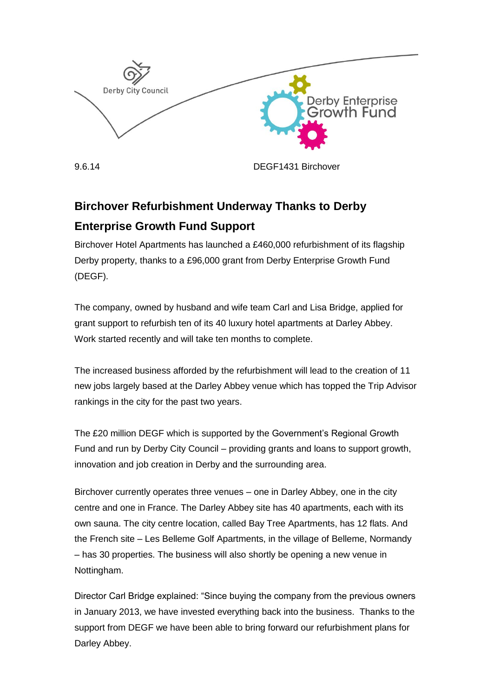

9.6.14 DEGF1431 Birchover

## **Birchover Refurbishment Underway Thanks to Derby Enterprise Growth Fund Support**

Birchover Hotel Apartments has launched a £460,000 refurbishment of its flagship Derby property, thanks to a £96,000 grant from Derby Enterprise Growth Fund (DEGF).

The company, owned by husband and wife team Carl and Lisa Bridge, applied for grant support to refurbish ten of its 40 luxury hotel apartments at Darley Abbey. Work started recently and will take ten months to complete.

The increased business afforded by the refurbishment will lead to the creation of 11 new jobs largely based at the Darley Abbey venue which has topped the Trip Advisor rankings in the city for the past two years.

The £20 million DEGF which is supported by the Government's Regional Growth Fund and run by Derby City Council – providing grants and loans to support growth, innovation and job creation in Derby and the surrounding area.

Birchover currently operates three venues – one in Darley Abbey, one in the city centre and one in France. The Darley Abbey site has 40 apartments, each with its own sauna. The city centre location, called Bay Tree Apartments, has 12 flats. And the French site – Les Belleme Golf Apartments, in the village of Belleme, Normandy – has 30 properties. The business will also shortly be opening a new venue in Nottingham.

Director Carl Bridge explained: "Since buying the company from the previous owners in January 2013, we have invested everything back into the business. Thanks to the support from DEGF we have been able to bring forward our refurbishment plans for Darley Abbey.